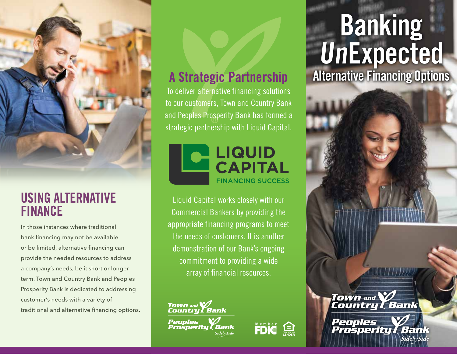

#### **USING ALTERNATIVE FINANCE**

In those instances where traditional bank financing may not be available or be limited, alternative financing can provide the needed resources to address a company's needs, be it short or longer term. Town and Country Bank and Peoples Prosperity Bank is dedicated to addressing customer's needs with a variety of traditional and alternative financing options.

To deliver alternative financing solutions to our customers, Town and Country Bank and Peoples Prosperity Bank has formed a strategic partnership with Liquid Capital.



Liquid Capital works closely with our Commercial Bankers by providing the appropriate financing programs to meet the needs of customers. It is another demonstration of our Bank's ongoing commitment to providing a wide array of financial resources.





# **Banking UnExpected A Strategic Partnership Alternative Financing Options**